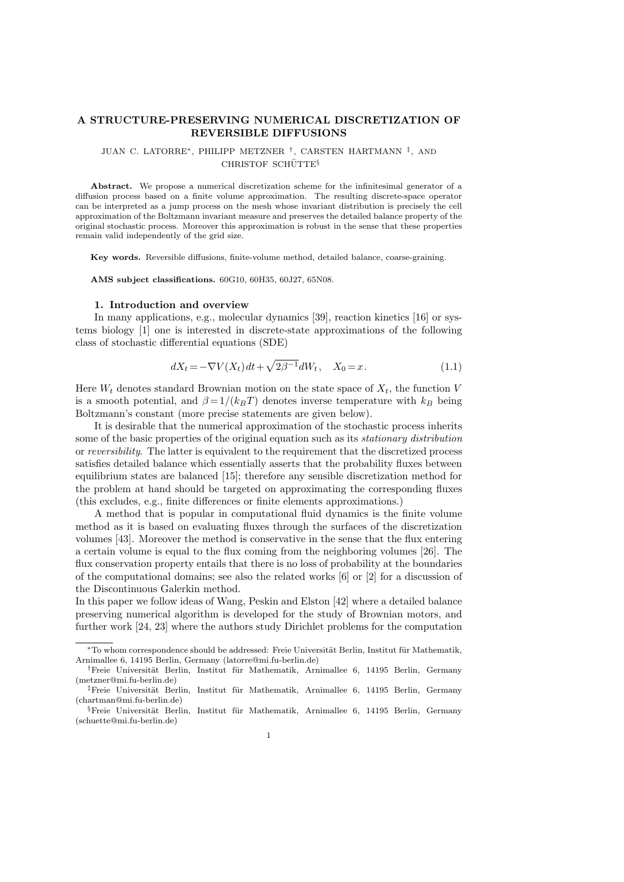# **A STRUCTURE-PRESERVING NUMERICAL DISCRETIZATION OF REVERSIBLE DIFFUSIONS**

### JUAN C. LATORRE*∗*, PHILIPP METZNER *†* , CARSTEN HARTMANN *‡* , AND CHRISTOF SCHÜTTE<sup>§</sup>

**Abstract.** We propose a numerical discretization scheme for the infinitesimal generator of a diffusion process based on a finite volume approximation. The resulting discrete-space operator can be interpreted as a jump process on the mesh whose invariant distribution is precisely the cell approximation of the Boltzmann invariant measure and preserves the detailed balance property of the original stochastic process. Moreover this approximation is robust in the sense that these properties remain valid independently of the grid size.

**Key words.** Reversible diffusions, finite-volume method, detailed balance, coarse-graining.

**AMS subject classifications.** 60G10, 60H35, 60J27, 65N08.

### **1. Introduction and overview**

In many applications, e.g., molecular dynamics [39], reaction kinetics [16] or systems biology [1] one is interested in discrete-state approximations of the following class of stochastic differential equations (SDE)

$$
dX_t = -\nabla V(X_t)dt + \sqrt{2\beta^{-1}}dW_t, \quad X_0 = x.
$$
\n(1.1)

Here  $W_t$  denotes standard Brownian motion on the state space of  $X_t$ , the function  $V$ is a smooth potential, and  $\beta = 1/(k_B T)$  denotes inverse temperature with  $k_B$  being Boltzmann's constant (more precise statements are given below).

It is desirable that the numerical approximation of the stochastic process inherits some of the basic properties of the original equation such as its *stationary distribution* or *reversibility*. The latter is equivalent to the requirement that the discretized process satisfies detailed balance which essentially asserts that the probability fluxes between equilibrium states are balanced [15]; therefore any sensible discretization method for the problem at hand should be targeted on approximating the corresponding fluxes (this excludes, e.g., finite differences or finite elements approximations.)

A method that is popular in computational fluid dynamics is the finite volume method as it is based on evaluating fluxes through the surfaces of the discretization volumes [43]. Moreover the method is conservative in the sense that the flux entering a certain volume is equal to the flux coming from the neighboring volumes [26]. The flux conservation property entails that there is no loss of probability at the boundaries of the computational domains; see also the related works  $[6]$  or  $[2]$  for a discussion of the Discontinuous Galerkin method.

In this paper we follow ideas of Wang, Peskin and Elston [42] where a detailed balance preserving numerical algorithm is developed for the study of Brownian motors, and further work [24, 23] where the authors study Dirichlet problems for the computation

*<sup>\*</sup>*To whom correspondence should be addressed: Freie Universität Berlin, Institut für Mathematik, Arnimallee 6, 14195 Berlin, Germany (latorre@mi.fu-berlin.de)

<sup>&</sup>lt;sup>†</sup>Freie Universität Berlin, Institut für Mathematik, Arnimallee 6, 14195 Berlin, Germany (metzner@mi.fu-berlin.de)

<sup>&</sup>lt;sup>‡</sup>Freie Universität Berlin, Institut für Mathematik, Arnimallee 6, 14195 Berlin, Germany (chartman@mi.fu-berlin.de)

<sup>&</sup>lt;sup>§</sup>Freie Universität Berlin, Institut für Mathematik, Arnimallee 6, 14195 Berlin, Germany (schuette@mi.fu-berlin.de)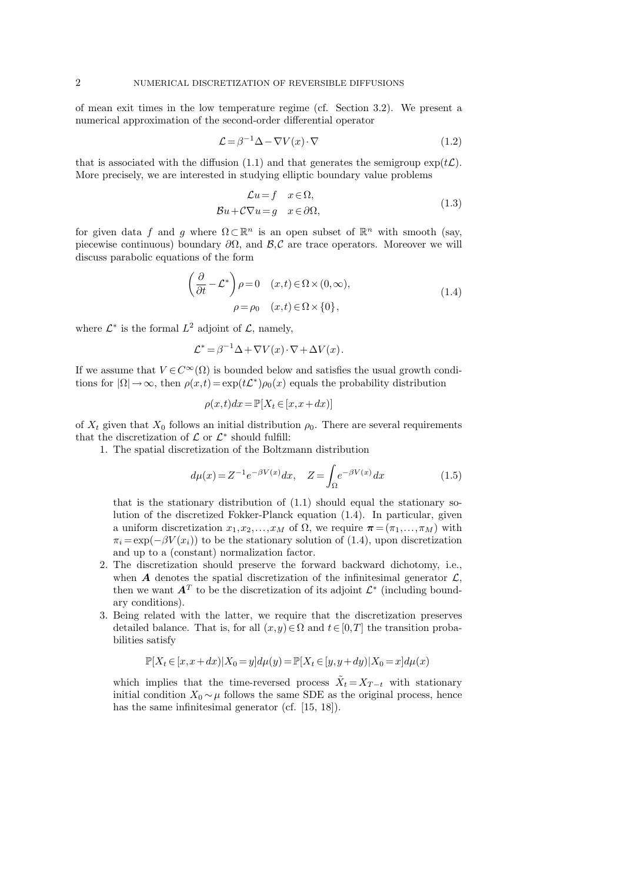of mean exit times in the low temperature regime (cf. Section 3.2). We present a numerical approximation of the second-order differential operator

$$
\mathcal{L} = \beta^{-1} \Delta - \nabla V(x) \cdot \nabla \tag{1.2}
$$

that is associated with the diffusion (1.1) and that generates the semigroup  $\exp(t\mathcal{L})$ . More precisely, we are interested in studying elliptic boundary value problems

$$
\mathcal{L}u = f \quad x \in \Omega,
$$
  

$$
\mathcal{B}u + C\nabla u = g \quad x \in \partial\Omega,
$$
 (1.3)

for given data *f* and *g* where  $\Omega \subset \mathbb{R}^n$  is an open subset of  $\mathbb{R}^n$  with smooth (say, piecewise continuous) boundary *∂*Ω, and *B,C* are trace operators. Moreover we will discuss parabolic equations of the form

$$
\left(\frac{\partial}{\partial t} - \mathcal{L}^*\right)\rho = 0 \quad (x, t) \in \Omega \times (0, \infty),
$$
  

$$
\rho = \rho_0 \quad (x, t) \in \Omega \times \{0\},
$$
 (1.4)

where  $\mathcal{L}^*$  is the formal  $L^2$  adjoint of  $\mathcal{L}$ , namely,

$$
\mathcal{L}^* = \beta^{-1} \Delta + \nabla V(x) \cdot \nabla + \Delta V(x).
$$

If we assume that  $V \in C^{\infty}(\Omega)$  is bounded below and satisfies the usual growth conditions for  $|\Omega| \to \infty$ , then  $\rho(x,t) = \exp(t\mathcal{L}^*)\rho_0(x)$  equals the probability distribution

$$
\rho(x,t)dx = \mathbb{P}[X_t \in [x, x+dx)]
$$

of  $X_t$  given that  $X_0$  follows an initial distribution  $\rho_0$ . There are several requirements that the discretization of  $\mathcal L$  or  $\mathcal L^*$  should fulfill:

1. The spatial discretization of the Boltzmann distribution

$$
d\mu(x) = Z^{-1}e^{-\beta V(x)}dx, \quad Z = \int_{\Omega} e^{-\beta V(x)}dx
$$
 (1.5)

that is the stationary distribution of (1.1) should equal the stationary solution of the discretized Fokker-Planck equation (1.4). In particular, given a uniform discretization  $x_1, x_2, \ldots, x_M$  of  $\Omega$ , we require  $\boldsymbol{\pi} = (\pi_1, \ldots, \pi_M)$  with  $\pi_i = \exp(-\beta V(x_i))$  to be the stationary solution of (1.4), upon discretization and up to a (constant) normalization factor.

- 2. The discretization should preserve the forward backward dichotomy, i.e., when  $\boldsymbol{A}$  denotes the spatial discretization of the infinitesimal generator  $\mathcal{L}$ , then we want  $A<sup>T</sup>$  to be the discretization of its adjoint  $\mathcal{L}^*$  (including boundary conditions).
- 3. Being related with the latter, we require that the discretization preserves detailed balance. That is, for all  $(x,y) \in \Omega$  and  $t \in [0,T]$  the transition probabilities satisfy

$$
\mathbb{P}[X_t\in [x,x+dx)|X_0=y]d\mu(y)=\mathbb{P}[X_t\in [y,y+dy)|X_0=x]d\mu(x)
$$

which implies that the time-reversed process  $\tilde{X}_t = X_{T-t}$  with stationary initial condition  $X_0 \sim \mu$  follows the same SDE as the original process, hence has the same infinitesimal generator (cf. [15, 18]).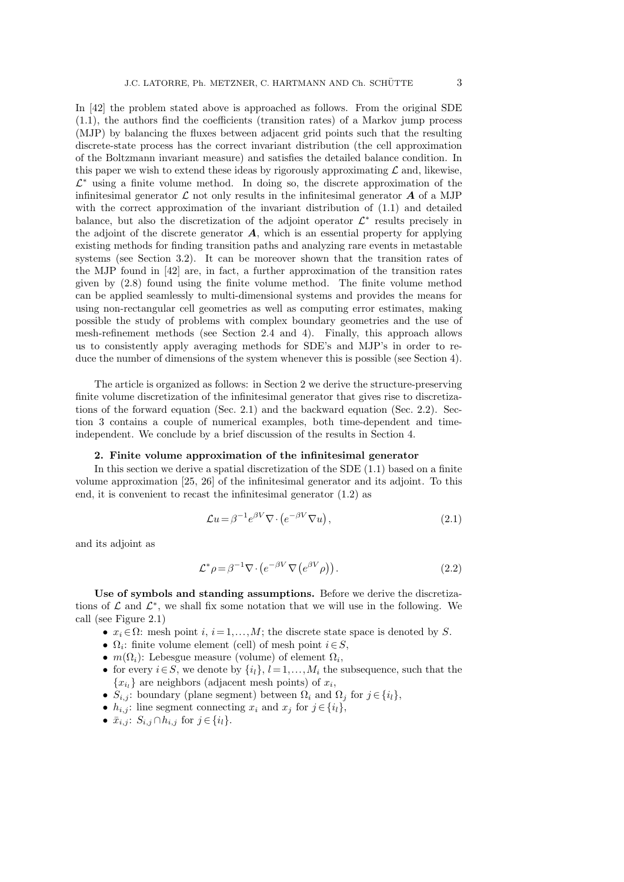In [42] the problem stated above is approached as follows. From the original SDE (1.1), the authors find the coefficients (transition rates) of a Markov jump process (MJP) by balancing the fluxes between adjacent grid points such that the resulting discrete-state process has the correct invariant distribution (the cell approximation of the Boltzmann invariant measure) and satisfies the detailed balance condition. In this paper we wish to extend these ideas by rigorously approximating  $\mathcal L$  and, likewise, *L <sup>∗</sup>* using a finite volume method. In doing so, the discrete approximation of the infinitesimal generator  $\mathcal L$  not only results in the infinitesimal generator  $\mathcal A$  of a MJP with the correct approximation of the invariant distribution of (1.1) and detailed balance, but also the discretization of the adjoint operator  $\mathcal{L}^*$  results precisely in the adjoint of the discrete generator *A*, which is an essential property for applying existing methods for finding transition paths and analyzing rare events in metastable systems (see Section 3.2). It can be moreover shown that the transition rates of the MJP found in [42] are, in fact, a further approximation of the transition rates given by (2.8) found using the finite volume method. The finite volume method can be applied seamlessly to multi-dimensional systems and provides the means for using non-rectangular cell geometries as well as computing error estimates, making possible the study of problems with complex boundary geometries and the use of mesh-refinement methods (see Section 2.4 and 4). Finally, this approach allows us to consistently apply averaging methods for SDE's and MJP's in order to reduce the number of dimensions of the system whenever this is possible (see Section 4).

The article is organized as follows: in Section 2 we derive the structure-preserving finite volume discretization of the infinitesimal generator that gives rise to discretizations of the forward equation (Sec. 2.1) and the backward equation (Sec. 2.2). Section 3 contains a couple of numerical examples, both time-dependent and timeindependent. We conclude by a brief discussion of the results in Section 4.

## **2. Finite volume approximation of the infinitesimal generator**

In this section we derive a spatial discretization of the SDE (1.1) based on a finite volume approximation [25, 26] of the infinitesimal generator and its adjoint. To this end, it is convenient to recast the infinitesimal generator (1.2) as

$$
\mathcal{L}u = \beta^{-1} e^{\beta V} \nabla \cdot \left( e^{-\beta V} \nabla u \right),\tag{2.1}
$$

and its adjoint as

$$
\mathcal{L}^*\rho = \beta^{-1}\nabla \cdot \left(e^{-\beta V}\nabla \left(e^{\beta V}\rho\right)\right). \tag{2.2}
$$

**Use of symbols and standing assumptions.** Before we derive the discretizations of  $\mathcal L$  and  $\mathcal L^*$ , we shall fix some notation that we will use in the following. We call (see Figure 2.1)

- $x_i \in \Omega$ : mesh point *i*,  $i = 1, ..., M$ ; the discrete state space is denoted by *S*.
- *•* Ω*<sup>i</sup>* : finite volume element (cell) of mesh point *i∈S*,
- $m(\Omega_i)$ : Lebesgue measure (volume) of element  $\Omega_i$ ,
- for every  $i \in S$ , we denote by  $\{i_l\}, l = 1, \ldots, M_i$  the subsequence, such that the  ${x_i}$  are neighbors (adjacent mesh points) of  $x_i$ ,
- $S_{i,j}$ : boundary (plane segment) between  $\Omega_i$  and  $\Omega_j$  for  $j \in \{i_l\}$ ,
- $h_{i,j}$ : line segment connecting  $x_i$  and  $x_j$  for  $j \in \{i_l\}$ ,
- *•*  $\bar{x}_{i,j}$ :  $S_{i,j} \cap h_{i,j}$  for  $j \in \{i_l\}$ .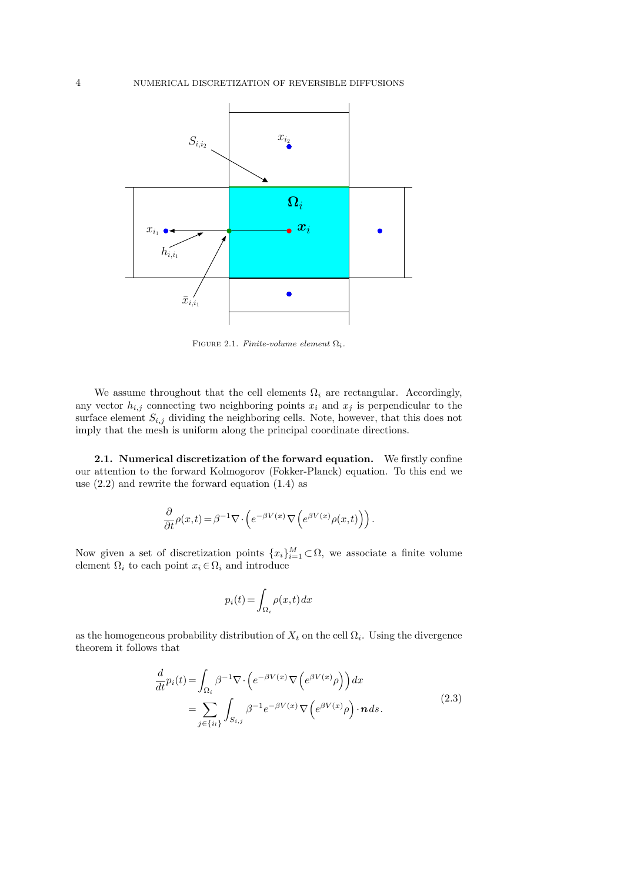

FIGURE 2.1. *Finite-volume element*  $\Omega_i$ *.* 

We assume throughout that the cell elements  $\Omega_i$  are rectangular. Accordingly, any vector  $h_{i,j}$  connecting two neighboring points  $x_i$  and  $x_j$  is perpendicular to the surface element  $S_{i,j}$  dividing the neighboring cells. Note, however, that this does not imply that the mesh is uniform along the principal coordinate directions.

**2.1. Numerical discretization of the forward equation.** We firstly confine our attention to the forward Kolmogorov (Fokker-Planck) equation. To this end we use  $(2.2)$  and rewrite the forward equation  $(1.4)$  as

$$
\frac{\partial}{\partial t}\rho(x,t) = \beta^{-1}\nabla \cdot \left(e^{-\beta V(x)}\nabla \left(e^{\beta V(x)}\rho(x,t)\right)\right).
$$

Now given a set of discretization points  ${x_i}_{i=1}^M \subset \Omega$ , we associate a finite volume element  $\Omega_i$  to each point  $x_i \in \Omega_i$  and introduce

$$
p_i(t)\!=\!\int_{\Omega_i} \rho(x,t)\,dx
$$

as the homogeneous probability distribution of  $X_t$  on the cell  $\Omega_i$ . Using the divergence theorem it follows that

$$
\frac{d}{dt}p_i(t) = \int_{\Omega_i} \beta^{-1} \nabla \cdot \left( e^{-\beta V(x)} \nabla \left( e^{\beta V(x)} \rho \right) \right) dx
$$
\n
$$
= \sum_{j \in \{i_l\}} \int_{S_{i,j}} \beta^{-1} e^{-\beta V(x)} \nabla \left( e^{\beta V(x)} \rho \right) \cdot \boldsymbol{n} ds. \tag{2.3}
$$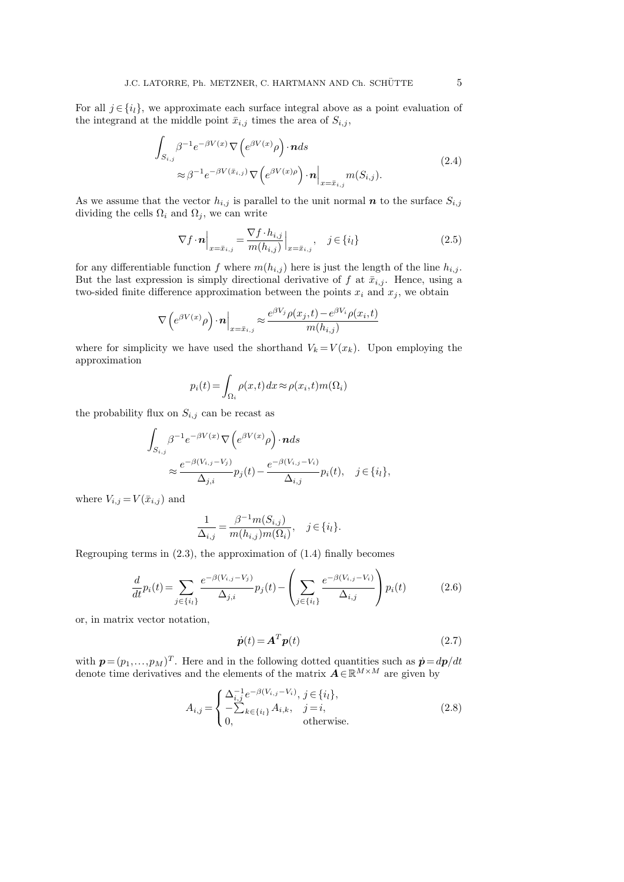For all  $j \in \{i_l\}$ , we approximate each surface integral above as a point evaluation of the integrand at the middle point  $\bar{x}_{i,j}$  times the area of  $S_{i,j}$ ,

$$
\int_{S_{i,j}} \beta^{-1} e^{-\beta V(x)} \nabla \left( e^{\beta V(x)} \rho \right) \cdot \mathbf{n} ds
$$
\n
$$
\approx \beta^{-1} e^{-\beta V(\bar{x}_{i,j})} \nabla \left( e^{\beta V(x)} \rho \right) \cdot \mathbf{n} \Big|_{x = \bar{x}_{i,j}} m(S_{i,j}).
$$
\n(2.4)

As we assume that the vector  $h_{i,j}$  is parallel to the unit normal  $n$  to the surface  $S_{i,j}$ dividing the cells  $\Omega_i$  and  $\Omega_j$ , we can write

$$
\nabla f \cdot \boldsymbol{n} \Big|_{x = \bar{x}_{i,j}} = \frac{\nabla f \cdot h_{i,j}}{m(h_{i,j})} \Big|_{x = \bar{x}_{i,j}}, \quad j \in \{i_l\}
$$
\n(2.5)

for any differentiable function *f* where  $m(h_{i,j})$  here is just the length of the line  $h_{i,j}$ . But the last expression is simply directional derivative of  $f$  at  $\bar{x}_{i,j}$ . Hence, using a two-sided finite difference approximation between the points  $x_i$  and  $x_j$ , we obtain

$$
\nabla \left(e^{\beta V(x)}\rho\right) \cdot \boldsymbol{n} \Big|_{x=\bar{x}_{i,j}} \approx \frac{e^{\beta V_j} \rho(x_j,t) - e^{\beta V_i} \rho(x_i,t)}{m(h_{i,j})}
$$

where for simplicity we have used the shorthand  $V_k = V(x_k)$ . Upon employing the approximation

$$
p_i(t) = \int_{\Omega_i} \rho(x, t) dx \approx \rho(x_i, t) m(\Omega_i)
$$

the probability flux on  $S_{i,j}$  can be recast as

$$
\int_{S_{i,j}} \beta^{-1} e^{-\beta V(x)} \nabla \left( e^{\beta V(x)} \rho \right) \cdot \mathbf{n} ds
$$
\n
$$
\approx \frac{e^{-\beta (V_{i,j} - V_j)}}{\Delta_{j,i}} p_j(t) - \frac{e^{-\beta (V_{i,j} - V_i)}}{\Delta_{i,j}} p_i(t), \quad j \in \{i_l\},
$$

where  $V_{i,j} = V(\bar{x}_{i,j})$  and

$$
\frac{1}{\Delta_{i,j}} = \frac{\beta^{-1} m(S_{i,j})}{m(h_{i,j}) m(\Omega_i)}, \quad j \in \{i_l\}.
$$

Regrouping terms in  $(2.3)$ , the approximation of  $(1.4)$  finally becomes

$$
\frac{d}{dt}p_i(t) = \sum_{j \in \{i_l\}} \frac{e^{-\beta(V_{i,j} - V_j)}}{\Delta_{j,i}} p_j(t) - \left(\sum_{j \in \{i_l\}} \frac{e^{-\beta(V_{i,j} - V_i)}}{\Delta_{i,j}}\right) p_i(t) \tag{2.6}
$$

or, in matrix vector notation,

$$
\dot{\boldsymbol{p}}(t) = \boldsymbol{A}^T \boldsymbol{p}(t) \tag{2.7}
$$

with  $p = (p_1, \ldots, p_M)^T$ . Here and in the following dotted quantities such as  $\dot{p} = dp/dt$ denote time derivatives and the elements of the matrix  $\mathbf{A} \in \mathbb{R}^{M \times M}$  are given by

$$
A_{i,j} = \begin{cases} \Delta_{i,j}^{-1} e^{-\beta(V_{i,j} - V_i)}, j \in \{i_l\},\\ -\sum_{k \in \{i_l\}} A_{i,k}, & j = i,\\ 0, & \text{otherwise.} \end{cases}
$$
(2.8)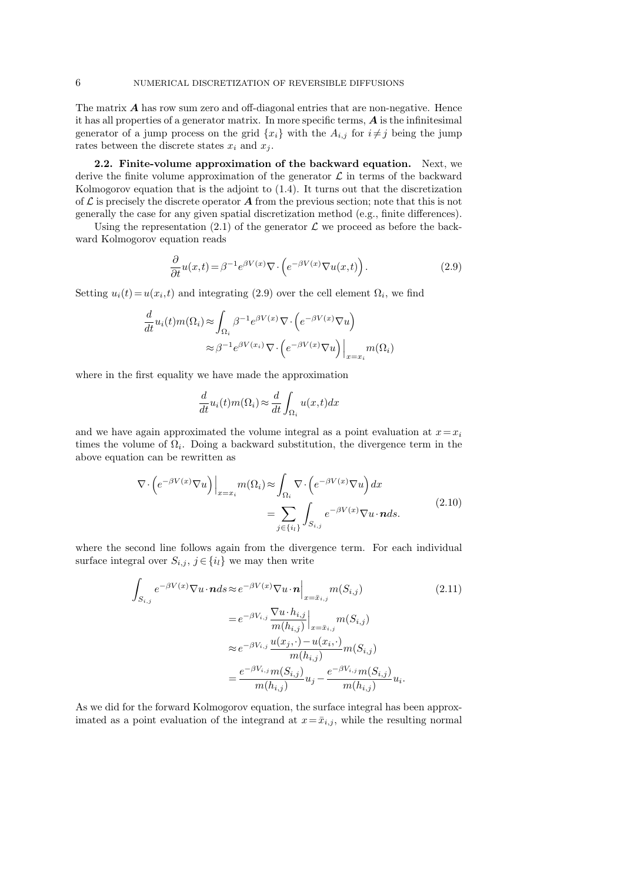The matrix *A* has row sum zero and off-diagonal entries that are non-negative. Hence it has all properties of a generator matrix. In more specific terms, *A* is the infinitesimal generator of a jump process on the grid  $\{x_i\}$  with the  $A_{i,j}$  for  $i \neq j$  being the jump rates between the discrete states  $x_i$  and  $x_j$ .

**2.2. Finite-volume approximation of the backward equation.** Next, we derive the finite volume approximation of the generator  $\mathcal L$  in terms of the backward Kolmogorov equation that is the adjoint to (1.4). It turns out that the discretization of  $\mathcal L$  is precisely the discrete operator  $\mathcal A$  from the previous section; note that this is not generally the case for any given spatial discretization method (e.g., finite differences).

Using the representation  $(2.1)$  of the generator  $\mathcal L$  we proceed as before the backward Kolmogorov equation reads

$$
\frac{\partial}{\partial t}u(x,t) = \beta^{-1} e^{\beta V(x)} \nabla \cdot \left( e^{-\beta V(x)} \nabla u(x,t) \right).
$$
\n(2.9)

Setting  $u_i(t) = u(x_i, t)$  and integrating (2.9) over the cell element  $\Omega_i$ , we find

$$
\frac{d}{dt}u_i(t)m(\Omega_i) \approx \int_{\Omega_i} \beta^{-1} e^{\beta V(x)} \nabla \cdot \left(e^{-\beta V(x)} \nabla u\right)
$$

$$
\approx \beta^{-1} e^{\beta V(x_i)} \nabla \cdot \left(e^{-\beta V(x)} \nabla u\right)\Big|_{x=x_i} m(\Omega_i)
$$

where in the first equality we have made the approximation

$$
\frac{d}{dt}u_i(t)m(\Omega_i) \approx \frac{d}{dt} \int_{\Omega_i} u(x,t)dx
$$

and we have again approximated the volume integral as a point evaluation at  $x = x_i$ times the volume of  $\Omega_i$ . Doing a backward substitution, the divergence term in the above equation can be rewritten as

$$
\nabla \cdot \left( e^{-\beta V(x)} \nabla u \right) \Big|_{x=x_i} m(\Omega_i) \approx \int_{\Omega_i} \nabla \cdot \left( e^{-\beta V(x)} \nabla u \right) dx
$$

$$
= \sum_{j \in \{i_l\}} \int_{S_{i,j}} e^{-\beta V(x)} \nabla u \cdot n ds. \tag{2.10}
$$

where the second line follows again from the divergence term. For each individual surface integral over  $S_{i,j}$ ,  $j \in \{i_l\}$  we may then write

$$
\int_{S_{i,j}} e^{-\beta V(x)} \nabla u \cdot \mathbf{n} ds \approx e^{-\beta V(x)} \nabla u \cdot \mathbf{n} \Big|_{x = \bar{x}_{i,j}} m(S_{i,j})
$$
\n
$$
= e^{-\beta V_{i,j}} \frac{\nabla u \cdot h_{i,j}}{m(h_{i,j})} \Big|_{x = \bar{x}_{i,j}} m(S_{i,j})
$$
\n
$$
\approx e^{-\beta V_{i,j}} \frac{u(x_j, \cdot) - u(x_i, \cdot)}{m(h_{i,j})} m(S_{i,j})
$$
\n
$$
= \frac{e^{-\beta V_{i,j}} m(S_{i,j})}{m(h_{i,j})} u_j - \frac{e^{-\beta V_{i,j}} m(S_{i,j})}{m(h_{i,j})} u_i.
$$
\n(2.11)

As we did for the forward Kolmogorov equation, the surface integral has been approximated as a point evaluation of the integrand at  $x = \bar{x}_{i,j}$ , while the resulting normal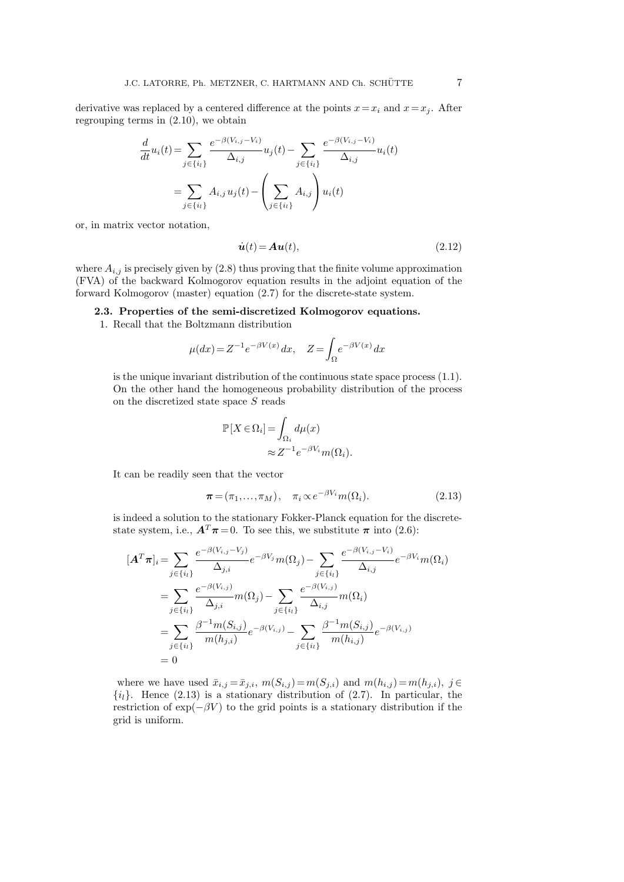derivative was replaced by a centered difference at the points  $x = x_i$  and  $x = x_j$ . After regrouping terms in (2.10), we obtain

$$
\frac{d}{dt}u_i(t) = \sum_{j \in \{i_l\}} \frac{e^{-\beta(V_{i,j} - V_i)}}{\Delta_{i,j}} u_j(t) - \sum_{j \in \{i_l\}} \frac{e^{-\beta(V_{i,j} - V_i)}}{\Delta_{i,j}} u_i(t)
$$
\n
$$
= \sum_{j \in \{i_l\}} A_{i,j} u_j(t) - \left(\sum_{j \in \{i_l\}} A_{i,j}\right) u_i(t)
$$

or, in matrix vector notation,

$$
\dot{\boldsymbol{u}}(t) = \boldsymbol{A}\boldsymbol{u}(t),\tag{2.12}
$$

where  $A_{i,j}$  is precisely given by  $(2.8)$  thus proving that the finite volume approximation (FVA) of the backward Kolmogorov equation results in the adjoint equation of the forward Kolmogorov (master) equation (2.7) for the discrete-state system.

**2.3. Properties of the semi-discretized Kolmogorov equations.**

1. Recall that the Boltzmann distribution

$$
\mu(dx) = Z^{-1} e^{-\beta V(x)} dx, \quad Z = \int_{\Omega} e^{-\beta V(x)} dx
$$

is the unique invariant distribution of the continuous state space process (1.1). On the other hand the homogeneous probability distribution of the process on the discretized state space *S* reads

$$
[X \in \Omega_i] = \int_{\Omega_i} d\mu(x)
$$
  

$$
\approx Z^{-1} e^{-\beta V_i} m(\Omega_i).
$$

It can be readily seen that the vector

P[*X ∈*Ω*<sup>i</sup>*

$$
\boldsymbol{\pi} = (\pi_1, \dots, \pi_M), \quad \pi_i \propto e^{-\beta V_i} m(\Omega_i). \tag{2.13}
$$

is indeed a solution to the stationary Fokker-Planck equation for the discretestate system, i.e.,  $A<sup>T</sup>$  $\pi$  = 0. To see this, we substitute  $\pi$  into (2.6):

$$
[\mathbf{A}^T \boldsymbol{\pi}]_i = \sum_{j \in \{i_l\}} \frac{e^{-\beta(V_{i,j} - V_j)}}{\Delta_{j,i}} e^{-\beta V_j} m(\Omega_j) - \sum_{j \in \{i_l\}} \frac{e^{-\beta(V_{i,j} - V_i)}}{\Delta_{i,j}} e^{-\beta V_i} m(\Omega_i)
$$
  
\n
$$
= \sum_{j \in \{i_l\}} \frac{e^{-\beta(V_{i,j})}}{\Delta_{j,i}} m(\Omega_j) - \sum_{j \in \{i_l\}} \frac{e^{-\beta(V_{i,j})}}{\Delta_{i,j}} m(\Omega_i)
$$
  
\n
$$
= \sum_{j \in \{i_l\}} \frac{\beta^{-1} m(S_{i,j})}{m(h_{j,i})} e^{-\beta(V_{i,j})} - \sum_{j \in \{i_l\}} \frac{\beta^{-1} m(S_{i,j})}{m(h_{i,j})} e^{-\beta(V_{i,j})}
$$
  
\n
$$
= 0
$$

where we have used  $\bar{x}_{i,j} = \bar{x}_{j,i}$ ,  $m(S_{i,j}) = m(S_{j,i})$  and  $m(h_{i,j}) = m(h_{j,i})$ ,  $j \in$  $\{i_l\}$ . Hence (2.13) is a stationary distribution of (2.7). In particular, the restriction of  $exp(-\beta V)$  to the grid points is a stationary distribution if the grid is uniform.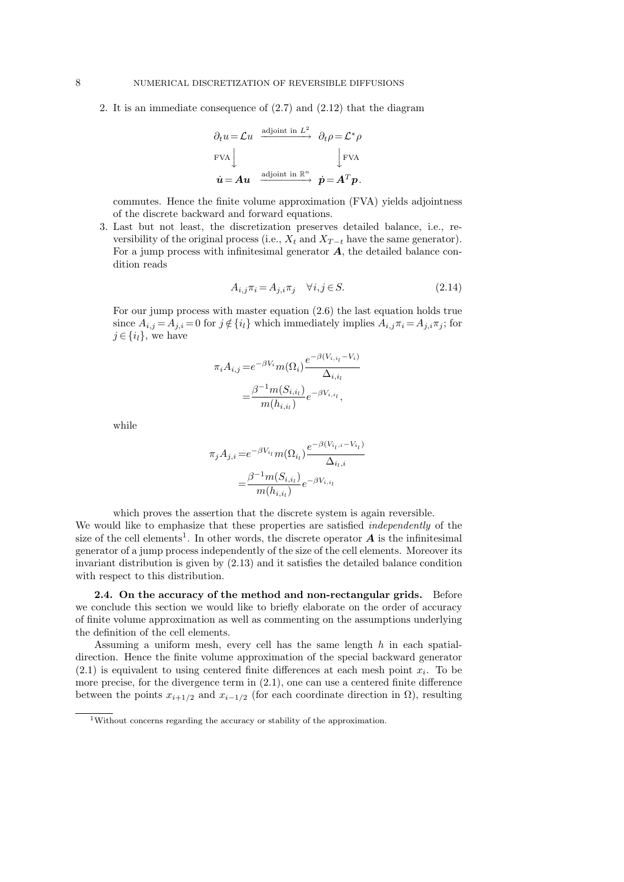2. It is an immediate consequence of (2.7) and (2.12) that the diagram

$$
\partial_t u = \mathcal{L}u \xrightarrow{\text{adjoint in } L^2} \partial_t \rho = \mathcal{L}^* \rho
$$
  
\nFVA  
\n
$$
\dot{u} = Au \xrightarrow{\text{adjoint in } \mathbb{R}^n} \dot{p} = A^T p.
$$

commutes. Hence the finite volume approximation (FVA) yields adjointness of the discrete backward and forward equations.

3. Last but not least, the discretization preserves detailed balance, i.e., reversibility of the original process (i.e.,  $X_t$  and  $X_{T-t}$  have the same generator). For a jump process with infinitesimal generator *A*, the detailed balance condition reads

$$
A_{i,j}\pi_i = A_{j,i}\pi_j \quad \forall i,j \in S. \tag{2.14}
$$

For our jump process with master equation (2.6) the last equation holds true since  $A_{i,j} = A_{j,i} = 0$  for  $j \notin \{i_l\}$  which immediately implies  $A_{i,j} \pi_i = A_{j,i} \pi_j$ ; for *j* ∈ { $i_l$ }, we have

$$
\pi_i A_{i,j} = e^{-\beta V_i} m(\Omega_i) \frac{e^{-\beta (V_{i,i_l} - V_i)}}{\Delta_{i, i_l}}
$$

$$
= \frac{\beta^{-1} m(S_{i, i_l})}{m(h_{i, i_l})} e^{-\beta V_{i, i_l}},
$$

while

$$
\pi_j A_{j,i} = e^{-\beta V_{i_l}} m(\Omega_{i_l}) \frac{e^{-\beta (V_{i_l,i} - V_{i_l})}}{\Delta_{i_l,i}}
$$

$$
= \frac{\beta^{-1} m(S_{i,i_l})}{m(h_{i,i_l})} e^{-\beta V_{i,i_l}}
$$

which proves the assertion that the discrete system is again reversible.

We would like to emphasize that these properties are satisfied *independently* of the size of the cell elements<sup>1</sup>. In other words, the discrete operator  $A$  is the infinitesimal generator of a jump process independently of the size of the cell elements. Moreover its invariant distribution is given by (2.13) and it satisfies the detailed balance condition with respect to this distribution.

**2.4. On the accuracy of the method and non-rectangular grids.** Before we conclude this section we would like to briefly elaborate on the order of accuracy of finite volume approximation as well as commenting on the assumptions underlying the definition of the cell elements.

Assuming a uniform mesh, every cell has the same length *h* in each spatialdirection. Hence the finite volume approximation of the special backward generator  $(2.1)$  is equivalent to using centered finite differences at each mesh point  $x_i$ . To be more precise, for the divergence term in (2.1), one can use a centered finite difference between the points  $x_{i+1/2}$  and  $x_{i-1/2}$  (for each coordinate direction in  $\Omega$ ), resulting

<sup>1</sup>Without concerns regarding the accuracy or stability of the approximation.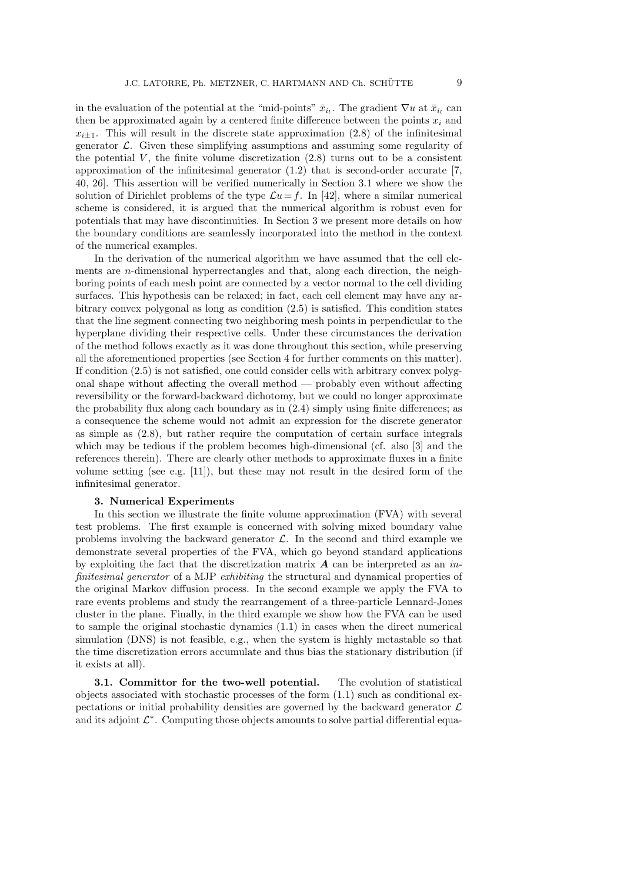in the evaluation of the potential at the "mid-points"  $\bar{x}_{i_l}$ . The gradient  $\nabla u$  at  $\bar{x}_{i_l}$  can then be approximated again by a centered finite difference between the points  $x_i$  and  $x_{i\pm 1}$ . This will result in the discrete state approximation (2.8) of the infinitesimal generator *L*. Given these simplifying assumptions and assuming some regularity of the potential  $V$ , the finite volume discretization  $(2.8)$  turns out to be a consistent approximation of the infinitesimal generator (1.2) that is second-order accurate [7, 40, 26]. This assertion will be verified numerically in Section 3.1 where we show the solution of Dirichlet problems of the type  $\mathcal{L}u = f$ . In [42], where a similar numerical scheme is considered, it is argued that the numerical algorithm is robust even for potentials that may have discontinuities. In Section 3 we present more details on how the boundary conditions are seamlessly incorporated into the method in the context of the numerical examples.

In the derivation of the numerical algorithm we have assumed that the cell elements are *n*-dimensional hyperrectangles and that, along each direction, the neighboring points of each mesh point are connected by a vector normal to the cell dividing surfaces. This hypothesis can be relaxed; in fact, each cell element may have any arbitrary convex polygonal as long as condition (2.5) is satisfied. This condition states that the line segment connecting two neighboring mesh points in perpendicular to the hyperplane dividing their respective cells. Under these circumstances the derivation of the method follows exactly as it was done throughout this section, while preserving all the aforementioned properties (see Section 4 for further comments on this matter). If condition (2.5) is not satisfied, one could consider cells with arbitrary convex polygonal shape without affecting the overall method — probably even without affecting reversibility or the forward-backward dichotomy, but we could no longer approximate the probability flux along each boundary as in (2.4) simply using finite differences; as a consequence the scheme would not admit an expression for the discrete generator as simple as (2.8), but rather require the computation of certain surface integrals which may be tedious if the problem becomes high-dimensional (cf. also [3] and the references therein). There are clearly other methods to approximate fluxes in a finite volume setting (see e.g. [11]), but these may not result in the desired form of the infinitesimal generator.

### **3. Numerical Experiments**

In this section we illustrate the finite volume approximation (FVA) with several test problems. The first example is concerned with solving mixed boundary value problems involving the backward generator  $\mathcal{L}$ . In the second and third example we demonstrate several properties of the FVA, which go beyond standard applications by exploiting the fact that the discretization matrix *A* can be interpreted as an *infinitesimal generator* of a MJP *exhibiting* the structural and dynamical properties of the original Markov diffusion process. In the second example we apply the FVA to rare events problems and study the rearrangement of a three-particle Lennard-Jones cluster in the plane. Finally, in the third example we show how the FVA can be used to sample the original stochastic dynamics (1.1) in cases when the direct numerical simulation (DNS) is not feasible, e.g., when the system is highly metastable so that the time discretization errors accumulate and thus bias the stationary distribution (if it exists at all).

**3.1. Committor for the two-well potential.** The evolution of statistical objects associated with stochastic processes of the form  $(1.1)$  such as conditional expectations or initial probability densities are governed by the backward generator *L* and its adjoint *L ∗* . Computing those objects amounts to solve partial differential equa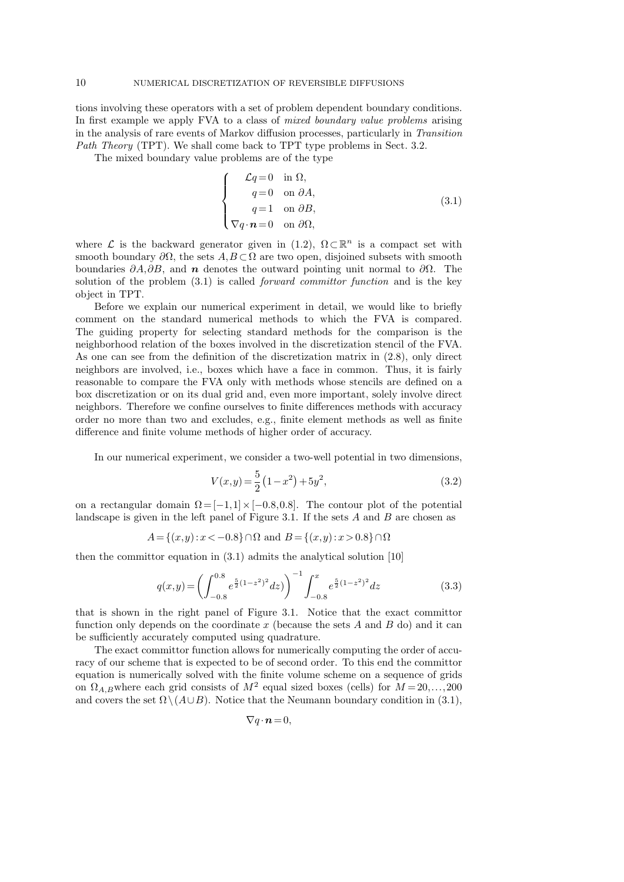tions involving these operators with a set of problem dependent boundary conditions. In first example we apply FVA to a class of *mixed boundary value problems* arising in the analysis of rare events of Markov diffusion processes, particularly in *Transition Path Theory* (TPT). We shall come back to TPT type problems in Sect. 3.2.

The mixed boundary value problems are of the type

$$
\begin{cases}\n\mathcal{L}q = 0 & \text{in } \Omega, \\
q = 0 & \text{on } \partial A, \\
q = 1 & \text{on } \partial B, \\
\nabla q \cdot \mathbf{n} = 0 & \text{on } \partial \Omega,\n\end{cases}
$$
\n(3.1)

where  $\mathcal L$  is the backward generator given in (1.2),  $\Omega \subset \mathbb{R}^n$  is a compact set with smooth boundary  $\partial\Omega$ , the sets  $A, B \subset \Omega$  are two open, disjoined subsets with smooth boundaries *∂A,∂B*, and *n* denotes the outward pointing unit normal to *∂*Ω. The solution of the problem (3.1) is called *forward committor function* and is the key object in TPT.

Before we explain our numerical experiment in detail, we would like to briefly comment on the standard numerical methods to which the FVA is compared. The guiding property for selecting standard methods for the comparison is the neighborhood relation of the boxes involved in the discretization stencil of the FVA. As one can see from the definition of the discretization matrix in (2.8), only direct neighbors are involved, i.e., boxes which have a face in common. Thus, it is fairly reasonable to compare the FVA only with methods whose stencils are defined on a box discretization or on its dual grid and, even more important, solely involve direct neighbors. Therefore we confine ourselves to finite differences methods with accuracy order no more than two and excludes, e.g., finite element methods as well as finite difference and finite volume methods of higher order of accuracy.

In our numerical experiment, we consider a two-well potential in two dimensions,

$$
V(x,y) = \frac{5}{2} (1 - x^2) + 5y^2,
$$
\n(3.2)

on a rectangular domain  $\Omega = [-1,1] \times [-0.8,0.8]$ . The contour plot of the potential landscape is given in the left panel of Figure 3.1. If the sets *A* and *B* are chosen as

$$
A = \{(x, y) : x < -0.8\} \cap \Omega \text{ and } B = \{(x, y) : x > 0.8\} \cap \Omega
$$

then the committor equation in (3.1) admits the analytical solution [10]

$$
q(x,y) = \left(\int_{-0.8}^{0.8} e^{\frac{5}{2}(1-z^2)^2} dz\right)^{-1} \int_{-0.8}^{x} e^{\frac{5}{2}(1-z^2)^2} dz
$$
 (3.3)

that is shown in the right panel of Figure 3.1. Notice that the exact committor function only depends on the coordinate *x* (because the sets *A* and *B* do) and it can be sufficiently accurately computed using quadrature.

The exact committor function allows for numerically computing the order of accuracy of our scheme that is expected to be of second order. To this end the committor equation is numerically solved with the finite volume scheme on a sequence of grids on  $\Omega_{A,B}$  where each grid consists of  $M^2$  equal sized boxes (cells) for  $M = 20, \ldots, 200$ and covers the set  $\Omega \setminus (A \cup B)$ . Notice that the Neumann boundary condition in (3.1),

 $\nabla q \cdot \mathbf{n} = 0$ ,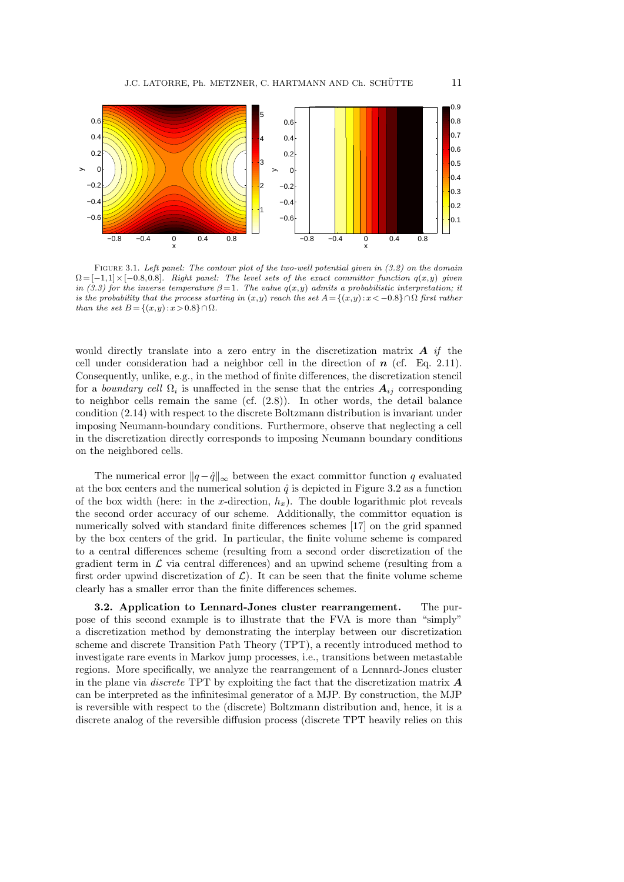

Figure 3.1. *Left panel: The contour plot of the two-well potential given in (3.2) on the domain*  $\Omega = [-1,1] \times [-0.8,0.8]$ *. Right panel: The level sets of the exact committor function*  $q(x,y)$  *given in (3.3) for the inverse temperature*  $\beta = 1$ *. The value*  $q(x, y)$  *admits a probabilistic interpretation; it is the probability that the process starting in*  $(x,y)$  *reach the set*  $A = \{(x,y): x < -0.8\} \cap \Omega$  *first rather than the set B* = { $(x, y) : x > 0.8$ } ∩Ω*.* 

would directly translate into a zero entry in the discretization matrix *A if* the cell under consideration had a neighbor cell in the direction of *n* (cf. Eq. 2.11). Consequently, unlike, e.g., in the method of finite differences, the discretization stencil for a *boundary cell*  $\Omega_i$  is unaffected in the sense that the entries  $A_{ij}$  corresponding to neighbor cells remain the same (cf. (2.8)). In other words, the detail balance condition (2.14) with respect to the discrete Boltzmann distribution is invariant under imposing Neumann-boundary conditions. Furthermore, observe that neglecting a cell in the discretization directly corresponds to imposing Neumann boundary conditions on the neighbored cells.

The numerical error  $||q - \hat{q}||_{\infty}$  between the exact committor function q evaluated at the box centers and the numerical solution  $\hat{q}$  is depicted in Figure 3.2 as a function of the box width (here: in the *x*-direction,  $h_x$ ). The double logarithmic plot reveals the second order accuracy of our scheme. Additionally, the committor equation is numerically solved with standard finite differences schemes [17] on the grid spanned by the box centers of the grid. In particular, the finite volume scheme is compared to a central differences scheme (resulting from a second order discretization of the gradient term in *L* via central differences) and an upwind scheme (resulting from a first order upwind discretization of  $\mathcal{L}$ ). It can be seen that the finite volume scheme clearly has a smaller error than the finite differences schemes.

**3.2. Application to Lennard-Jones cluster rearrangement.** The purpose of this second example is to illustrate that the FVA is more than "simply" a discretization method by demonstrating the interplay between our discretization scheme and discrete Transition Path Theory (TPT), a recently introduced method to investigate rare events in Markov jump processes, i.e., transitions between metastable regions. More specifically, we analyze the rearrangement of a Lennard-Jones cluster in the plane via *discrete* TPT by exploiting the fact that the discretization matrix *A* can be interpreted as the infinitesimal generator of a MJP. By construction, the MJP is reversible with respect to the (discrete) Boltzmann distribution and, hence, it is a discrete analog of the reversible diffusion process (discrete TPT heavily relies on this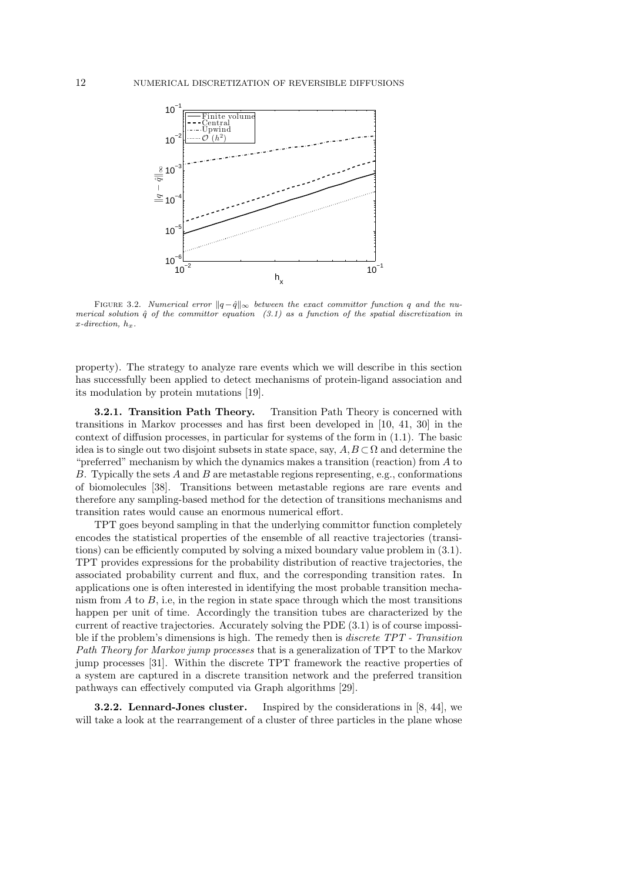

FIGURE 3.2. *Numerical error*  $||q - \hat{q}||_{\infty}$  *between the exact committor function q and the numerical solution*  $\hat{q}$  *of the committor equation* (3.1) as a function of the spatial discretization in  $x$ *-direction,*  $h_x$ *.* 

property). The strategy to analyze rare events which we will describe in this section has successfully been applied to detect mechanisms of protein-ligand association and its modulation by protein mutations [19].

**3.2.1. Transition Path Theory.** Transition Path Theory is concerned with transitions in Markov processes and has first been developed in [10, 41, 30] in the context of diffusion processes, in particular for systems of the form in (1.1). The basic idea is to single out two disjoint subsets in state space, say,  $A, B \subset \Omega$  and determine the "preferred" mechanism by which the dynamics makes a transition (reaction) from *A* to *B*. Typically the sets *A* and *B* are metastable regions representing, e.g., conformations of biomolecules [38]. Transitions between metastable regions are rare events and therefore any sampling-based method for the detection of transitions mechanisms and transition rates would cause an enormous numerical effort.

TPT goes beyond sampling in that the underlying committor function completely encodes the statistical properties of the ensemble of all reactive trajectories (transitions) can be efficiently computed by solving a mixed boundary value problem in (3.1). TPT provides expressions for the probability distribution of reactive trajectories, the associated probability current and flux, and the corresponding transition rates. In applications one is often interested in identifying the most probable transition mechanism from  $A$  to  $B$ , i.e, in the region in state space through which the most transitions happen per unit of time. Accordingly the transition tubes are characterized by the current of reactive trajectories. Accurately solving the PDE (3.1) is of course impossible if the problem's dimensions is high. The remedy then is *discrete TPT - Transition Path Theory for Markov jump processes* that is a generalization of TPT to the Markov jump processes [31]. Within the discrete TPT framework the reactive properties of a system are captured in a discrete transition network and the preferred transition pathways can effectively computed via Graph algorithms [29].

**3.2.2. Lennard-Jones cluster.** Inspired by the considerations in [8, 44], we will take a look at the rearrangement of a cluster of three particles in the plane whose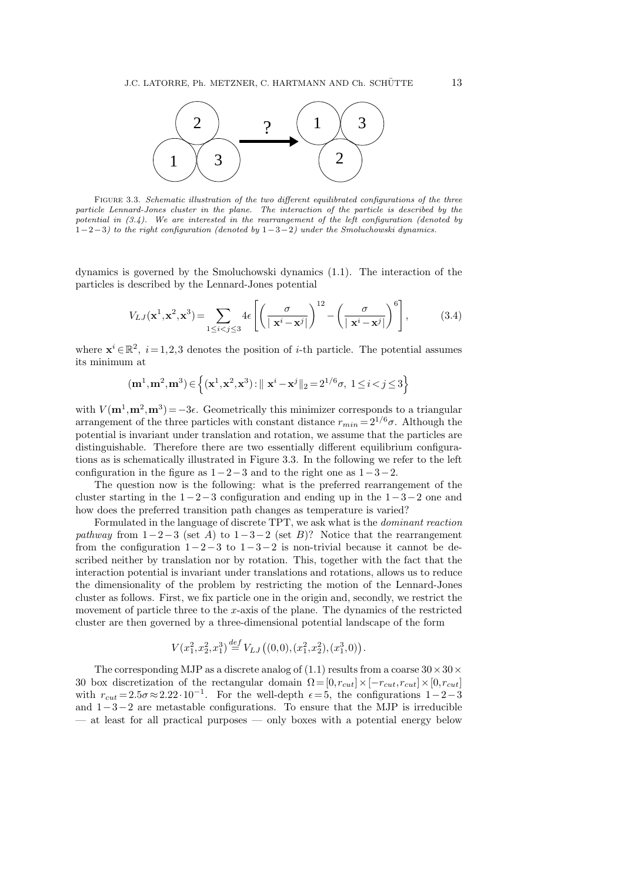

Figure 3.3. *Schematic illustration of the two different equilibrated configurations of the three particle Lennard-Jones cluster in the plane. The interaction of the particle is described by the potential in (3.4). We are interested in the rearrangement of the left configuration (denoted by* 1*−*2*−*3*) to the right configuration (denoted by* 1*−*3*−*2*) under the Smoluchowski dynamics.*

dynamics is governed by the Smoluchowski dynamics (1.1). The interaction of the particles is described by the Lennard-Jones potential

$$
V_{LJ}(\mathbf{x}^1, \mathbf{x}^2, \mathbf{x}^3) = \sum_{1 \le i < j \le 3} 4\epsilon \left[ \left( \frac{\sigma}{|\mathbf{x}^i - \mathbf{x}^j|} \right)^{12} - \left( \frac{\sigma}{|\mathbf{x}^i - \mathbf{x}^j|} \right)^6 \right],\tag{3.4}
$$

where  $\mathbf{x}^i \in \mathbb{R}^2$ ,  $i = 1, 2, 3$  denotes the position of *i*-th particle. The potential assumes its minimum at

$$
(\mathbf{m}^1, \mathbf{m}^2, \mathbf{m}^3) \in \left\{ (\mathbf{x}^1, \mathbf{x}^2, \mathbf{x}^3) : || \mathbf{x}^i - \mathbf{x}^j ||_2 = 2^{1/6}\sigma, \ 1 \le i < j \le 3 \right\}
$$

with  $V(\mathbf{m}^1, \mathbf{m}^2, \mathbf{m}^3) = -3\epsilon$ . Geometrically this minimizer corresponds to a triangular arrangement of the three particles with constant distance  $r_{min} = 2^{1/6}\sigma$ . Although the potential is invariant under translation and rotation, we assume that the particles are distinguishable. Therefore there are two essentially different equilibrium configurations as is schematically illustrated in Figure 3.3. In the following we refer to the left configuration in the figure as 1*−*2*−*3 and to the right one as 1*−*3*−*2.

The question now is the following: what is the preferred rearrangement of the cluster starting in the 1*−*2*−*3 configuration and ending up in the 1*−*3*−*2 one and how does the preferred transition path changes as temperature is varied?

Formulated in the language of discrete TPT, we ask what is the *dominant reaction pathway* from  $1-2-3$  (set *A*) to  $1-3-2$  (set *B*)? Notice that the rearrangement from the configuration 1*−*2*−*3 to 1*−*3*−*2 is non-trivial because it cannot be described neither by translation nor by rotation. This, together with the fact that the interaction potential is invariant under translations and rotations, allows us to reduce the dimensionality of the problem by restricting the motion of the Lennard-Jones cluster as follows. First, we fix particle one in the origin and, secondly, we restrict the movement of particle three to the *x*-axis of the plane. The dynamics of the restricted cluster are then governed by a three-dimensional potential landscape of the form

$$
V(x_1^2, x_2^2, x_1^3) \stackrel{def}{=} V_{LJ}\left((0,0), (x_1^2, x_2^2), (x_1^3, 0)\right).
$$

The corresponding MJP as a discrete analog of (1.1) results from a coarse 30*×*30*×* 30 box discretization of the rectangular domain  $\Omega = [0, r_{cut}] \times [-r_{cut}, r_{cut}] \times [0, r_{cut}]$ with  $r_{cut} = 2.5\sigma \approx 2.22 \cdot 10^{-1}$ . For the well-depth  $\epsilon = 5$ , the configurations 1-2-3 and 1*−*3*−*2 are metastable configurations. To ensure that the MJP is irreducible — at least for all practical purposes — only boxes with a potential energy below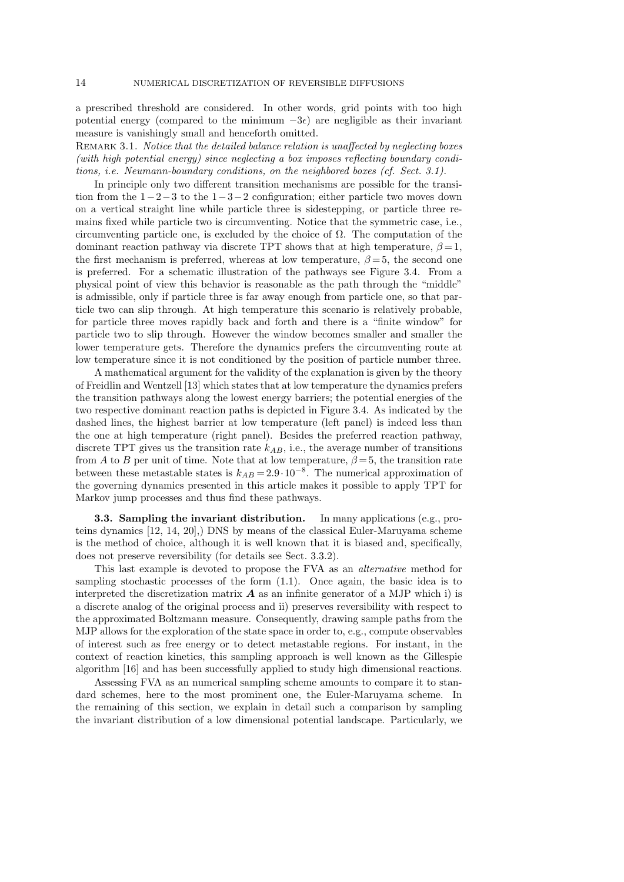a prescribed threshold are considered. In other words, grid points with too high potential energy (compared to the minimum  $-3\epsilon$ ) are negligible as their invariant measure is vanishingly small and henceforth omitted.

REMARK 3.1. *Notice that the detailed balance relation is unaffected by neglecting boxes (with high potential energy) since neglecting a box imposes reflecting boundary conditions, i.e. Neumann-boundary conditions, on the neighbored boxes (cf. Sect. 3.1).*

In principle only two different transition mechanisms are possible for the transition from the 1*−*2*−*3 to the 1*−*3*−*2 configuration; either particle two moves down on a vertical straight line while particle three is sidestepping, or particle three remains fixed while particle two is circumventing. Notice that the symmetric case, i.e., circumventing particle one, is excluded by the choice of  $\Omega$ . The computation of the dominant reaction pathway via discrete TPT shows that at high temperature,  $\beta = 1$ , the first mechanism is preferred, whereas at low temperature,  $\beta = 5$ , the second one is preferred. For a schematic illustration of the pathways see Figure 3.4. From a physical point of view this behavior is reasonable as the path through the "middle" is admissible, only if particle three is far away enough from particle one, so that particle two can slip through. At high temperature this scenario is relatively probable, for particle three moves rapidly back and forth and there is a "finite window" for particle two to slip through. However the window becomes smaller and smaller the lower temperature gets. Therefore the dynamics prefers the circumventing route at low temperature since it is not conditioned by the position of particle number three.

A mathematical argument for the validity of the explanation is given by the theory of Freidlin and Wentzell [13] which states that at low temperature the dynamics prefers the transition pathways along the lowest energy barriers; the potential energies of the two respective dominant reaction paths is depicted in Figure 3.4. As indicated by the dashed lines, the highest barrier at low temperature (left panel) is indeed less than the one at high temperature (right panel). Besides the preferred reaction pathway, discrete TPT gives us the transition rate *kAB*, i.e., the average number of transitions from *A* to *B* per unit of time. Note that at low temperature,  $\beta = 5$ , the transition rate between these metastable states is  $k_{AB} = 2.9 \cdot 10^{-8}$ . The numerical approximation of the governing dynamics presented in this article makes it possible to apply TPT for Markov jump processes and thus find these pathways.

**3.3. Sampling the invariant distribution.** In many applications (e.g., proteins dynamics [12, 14, 20],) DNS by means of the classical Euler-Maruyama scheme is the method of choice, although it is well known that it is biased and, specifically, does not preserve reversibility (for details see Sect. 3.3.2).

This last example is devoted to propose the FVA as an *alternative* method for sampling stochastic processes of the form (1.1). Once again, the basic idea is to interpreted the discretization matrix  $\boldsymbol{A}$  as an infinite generator of a MJP which i) is a discrete analog of the original process and ii) preserves reversibility with respect to the approximated Boltzmann measure. Consequently, drawing sample paths from the MJP allows for the exploration of the state space in order to, e.g., compute observables of interest such as free energy or to detect metastable regions. For instant, in the context of reaction kinetics, this sampling approach is well known as the Gillespie algorithm [16] and has been successfully applied to study high dimensional reactions.

Assessing FVA as an numerical sampling scheme amounts to compare it to standard schemes, here to the most prominent one, the Euler-Maruyama scheme. In the remaining of this section, we explain in detail such a comparison by sampling the invariant distribution of a low dimensional potential landscape. Particularly, we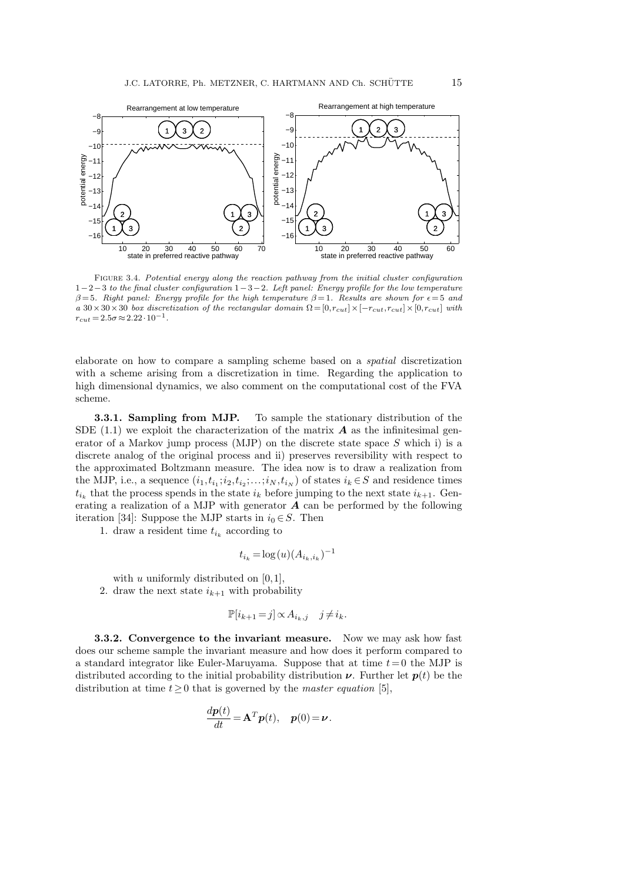

Figure 3.4. *Potential energy along the reaction pathway from the initial cluster configuration* 1*−*2*−*3 *to the final cluster configuration* 1*−*3*−*2*. Left panel: Energy profile for the low temperature*  $\beta = 5$ *. Right panel: Energy profile for the high temperature*  $\beta = 1$ *. Results are shown for*  $\epsilon = 5$  *and*  $a$  30 × 30 *×*30 *box discretization of the rectangular domain*  $\Omega = [0, r_{cut}] \times [-r_{cut}, r_{cut}] \times [0, r_{cut}]$  *with*  $r_{cut} = 2.5\sigma \approx 2.22 \cdot 10^{-1}$ .

elaborate on how to compare a sampling scheme based on a *spatial* discretization with a scheme arising from a discretization in time. Regarding the application to high dimensional dynamics, we also comment on the computational cost of the FVA scheme.

**3.3.1. Sampling from MJP.** To sample the stationary distribution of the SDE  $(1.1)$  we exploit the characterization of the matrix  $\boldsymbol{A}$  as the infinitesimal generator of a Markov jump process (MJP) on the discrete state space *S* which i) is a discrete analog of the original process and ii) preserves reversibility with respect to the approximated Boltzmann measure. The idea now is to draw a realization from the MJP, i.e., a sequence  $(i_1, t_{i_1}; i_2, t_{i_2}; \ldots; i_N, t_{i_N})$  of states  $i_k \in S$  and residence times  $t_{i_k}$  that the process spends in the state  $i_k$  before jumping to the next state  $i_{k+1}$ . Generating a realization of a MJP with generator *A* can be performed by the following iteration [34]: Suppose the MJP starts in  $i_0 \in S$ . Then

1. draw a resident time  $t_{i_k}$  according to

$$
t_{i_k} = \log(u) (A_{i_k, i_k})^{-1}
$$

with *u* uniformly distributed on [0*,*1],

2. draw the next state  $i_{k+1}$  with probability

$$
\mathbb{P}[i_{k+1} = j] \propto A_{i_k, j} \quad j \neq i_k.
$$

**3.3.2. Convergence to the invariant measure.** Now we may ask how fast does our scheme sample the invariant measure and how does it perform compared to a standard integrator like Euler-Maruyama. Suppose that at time *t*= 0 the MJP is distributed according to the initial probability distribution  $\nu$ . Further let  $p(t)$  be the distribution at time  $t \geq 0$  that is governed by the *master equation* [5],

$$
\frac{d\boldsymbol{p}(t)}{dt} = \mathbf{A}^T \boldsymbol{p}(t), \quad \boldsymbol{p}(0) = \boldsymbol{\nu}.
$$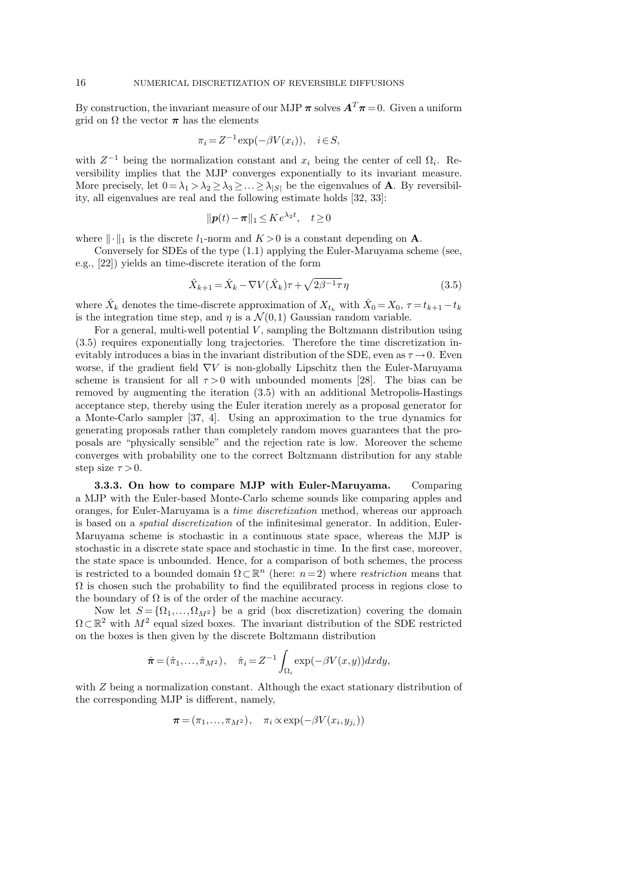By construction, the invariant measure of our MJP  $\pi$  solves  $A^T \pi = 0$ . Given a uniform grid on  $\Omega$  the vector  $\pi$  has the elements

$$
\pi_i = Z^{-1} \exp(-\beta V(x_i)), \quad i \in S,
$$

with  $Z^{-1}$  being the normalization constant and  $x_i$  being the center of cell  $\Omega_i$ . Reversibility implies that the MJP converges exponentially to its invariant measure. More precisely, let  $0 = \lambda_1 > \lambda_2 \geq \lambda_3 \geq \ldots \geq \lambda_{|S|}$  be the eigenvalues of **A**. By reversibility, all eigenvalues are real and the following estimate holds [32, 33]:

$$
\|\mathbf{p}(t) - \boldsymbol{\pi}\|_1 \leq K e^{\lambda_2 t}, \quad t \geq 0
$$

where  $\|\cdot\|_1$  is the discrete  $l_1$ -norm and  $K > 0$  is a constant depending on **A**.

Conversely for SDEs of the type (1.1) applying the Euler-Maruyama scheme (see, e.g., [22]) yields an time-discrete iteration of the form

$$
\hat{X}_{k+1} = \hat{X}_k - \nabla V(\hat{X}_k)\tau + \sqrt{2\beta^{-1}\tau}\eta
$$
\n(3.5)

where  $\hat{X}_k$  denotes the time-discrete approximation of  $X_{t_k}$  with  $\hat{X}_0 = X_0$ ,  $\tau = t_{k+1} - t_k$ is the integration time step, and  $\eta$  is a  $\mathcal{N}(0,1)$  Gaussian random variable.

For a general, multi-well potential *V*, sampling the Boltzmann distribution using (3.5) requires exponentially long trajectories. Therefore the time discretization inevitably introduces a bias in the invariant distribution of the SDE, even as  $\tau \rightarrow 0$ . Even worse, if the gradient field *∇V* is non-globally Lipschitz then the Euler-Maruyama scheme is transient for all  $\tau > 0$  with unbounded moments [28]. The bias can be removed by augmenting the iteration (3.5) with an additional Metropolis-Hastings acceptance step, thereby using the Euler iteration merely as a proposal generator for a Monte-Carlo sampler [37, 4]. Using an approximation to the true dynamics for generating proposals rather than completely random moves guarantees that the proposals are "physically sensible" and the rejection rate is low. Moreover the scheme converges with probability one to the correct Boltzmann distribution for any stable step size  $\tau > 0$ .

**3.3.3. On how to compare MJP with Euler-Maruyama.** Comparing a MJP with the Euler-based Monte-Carlo scheme sounds like comparing apples and oranges, for Euler-Maruyama is a *time discretization* method, whereas our approach is based on a *spatial discretization* of the infinitesimal generator. In addition, Euler-Maruyama scheme is stochastic in a continuous state space, whereas the MJP is stochastic in a discrete state space and stochastic in time. In the first case, moreover, the state space is unbounded. Hence, for a comparison of both schemes, the process is restricted to a bounded domain  $\Omega \subset \mathbb{R}^n$  (here:  $n=2$ ) where *restriction* means that  $\Omega$  is chosen such the probability to find the equilibrated process in regions close to the boundary of  $\Omega$  is of the order of the machine accuracy.

Now let  $S = \{\Omega_1, ..., \Omega_{M^2}\}\$ be a grid (box discretization) covering the domain  $Ω ⊂ ℝ<sup>2</sup>$  with  $M<sup>2</sup>$  equal sized boxes. The invariant distribution of the SDE restricted on the boxes is then given by the discrete Boltzmann distribution

$$
\hat{\boldsymbol{\pi}} = (\hat{\pi}_1, \dots, \hat{\pi}_{M^2}), \quad \hat{\pi}_i = Z^{-1} \int_{\Omega_i} \exp(-\beta V(x, y)) dx dy,
$$

with *Z* being a normalization constant. Although the exact stationary distribution of the corresponding MJP is different, namely,

$$
\boldsymbol{\pi} = (\pi_1, \ldots, \pi_{M^2}), \quad \pi_i \propto \exp(-\beta V(x_i, y_{j_i}))
$$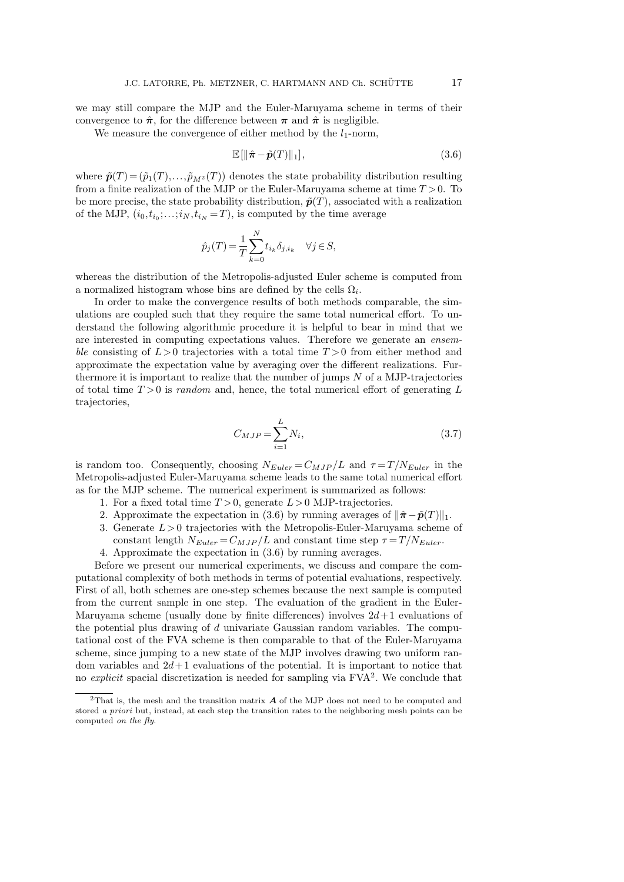we may still compare the MJP and the Euler-Maruyama scheme in terms of their convergence to  $\hat{\pi}$ , for the difference between  $\pi$  and  $\hat{\pi}$  is negligible.

We measure the convergence of either method by the  $l_1$ -norm,

$$
\mathbb{E}[\|\hat{\boldsymbol{\pi}} - \tilde{\boldsymbol{p}}(T)\|_1],\tag{3.6}
$$

where  $\tilde{\mathbf{p}}(T) = (\tilde{p}_1(T), \ldots, \tilde{p}_{M^2}(T))$  denotes the state probability distribution resulting from a finite realization of the MJP or the Euler-Maruyama scheme at time *T >*0. To be more precise, the state probability distribution,  $\tilde{p}(T)$ , associated with a realization of the MJP,  $(i_0, t_{i_0}; \ldots; i_N, t_{i_N} = T)$ , is computed by the time average

$$
\hat{p}_j(T) = \frac{1}{T} \sum_{k=0}^{N} t_{i_k} \delta_{j,i_k} \quad \forall j \in S,
$$

whereas the distribution of the Metropolis-adjusted Euler scheme is computed from a normalized histogram whose bins are defined by the cells  $\Omega_i$ .

In order to make the convergence results of both methods comparable, the simulations are coupled such that they require the same total numerical effort. To understand the following algorithmic procedure it is helpful to bear in mind that we are interested in computing expectations values. Therefore we generate an *ensemble* consisting of *L >*0 trajectories with a total time *T >*0 from either method and approximate the expectation value by averaging over the different realizations. Furthermore it is important to realize that the number of jumps *N* of a MJP-trajectories of total time *T >*0 is *random* and, hence, the total numerical effort of generating *L* trajectories,

$$
C_{MJP} = \sum_{i=1}^{L} N_i,
$$
\n(3.7)

is random too. Consequently, choosing  $N_{Euler} = C_{MJP}/L$  and  $\tau = T/N_{Euler}$  in the Metropolis-adjusted Euler-Maruyama scheme leads to the same total numerical effort as for the MJP scheme. The numerical experiment is summarized as follows:

- 1. For a fixed total time *T >*0, generate *L >*0 MJP-trajectories.
- 2. Approximate the expectation in (3.6) by running averages of  $\|\hat{\pi} \tilde{p}(T)\|_1$ .
- 3. Generate *L >*0 trajectories with the Metropolis-Euler-Maruyama scheme of constant length  $N_{Euler} = C_{MJP}/L$  and constant time step  $\tau = T/N_{Euler}$ .
- 4. Approximate the expectation in (3.6) by running averages.

Before we present our numerical experiments, we discuss and compare the computational complexity of both methods in terms of potential evaluations, respectively. First of all, both schemes are one-step schemes because the next sample is computed from the current sample in one step. The evaluation of the gradient in the Euler-Maruyama scheme (usually done by finite differences) involves  $2d+1$  evaluations of the potential plus drawing of *d* univariate Gaussian random variables. The computational cost of the FVA scheme is then comparable to that of the Euler-Maruyama scheme, since jumping to a new state of the MJP involves drawing two uniform random variables and  $2d+1$  evaluations of the potential. It is important to notice that no *explicit* spacial discretization is needed for sampling via FVA<sup>2</sup>. We conclude that

<sup>2</sup>That is, the mesh and the transition matrix *A* of the MJP does not need to be computed and stored *a priori* but, instead, at each step the transition rates to the neighboring mesh points can be computed *on the fly*.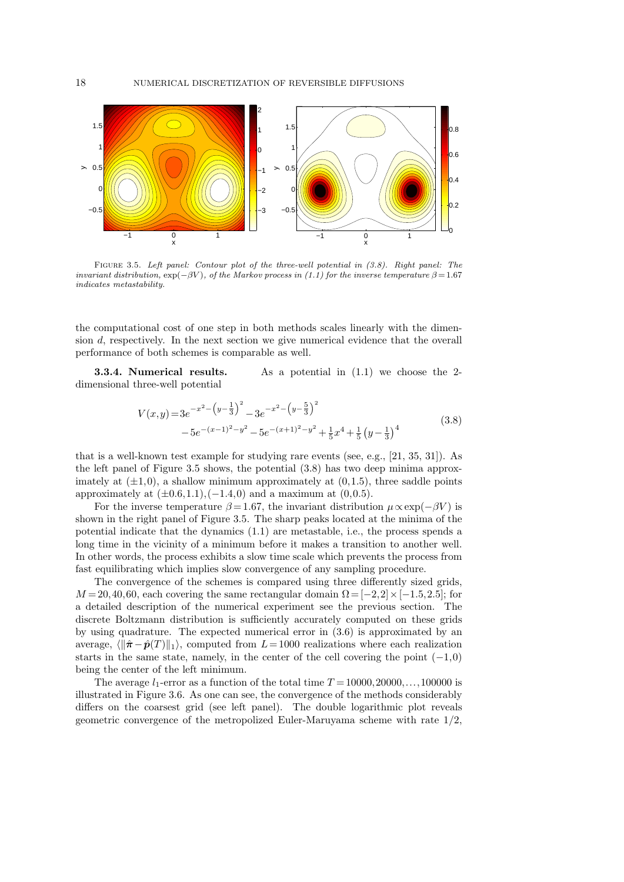

Figure 3.5. *Left panel: Contour plot of the three-well potential in (3.8). Right panel: The invariant distribution,*  $\exp(-\beta V)$ *, of the Markov process in* (1.1) for the inverse temperature  $\beta = 1.67$ *indicates metastability.*

the computational cost of one step in both methods scales linearly with the dimension *d*, respectively. In the next section we give numerical evidence that the overall performance of both schemes is comparable as well.

**3.3.4. Numerical results.** As a potential in  $(1.1)$  we choose the 2dimensional three-well potential

$$
V(x,y) = 3e^{-x^2 - \left(y - \frac{1}{3}\right)^2} - 3e^{-x^2 - \left(y - \frac{5}{3}\right)^2}
$$
  
- 5e^{-(x-1)^2 - y^2} - 5e^{-(x+1)^2 - y^2} + \frac{1}{5}x^4 + \frac{1}{5}\left(y - \frac{1}{3}\right)^4
$$
(3.8)
$$

that is a well-known test example for studying rare events (see, e.g., [21, 35, 31]). As the left panel of Figure 3.5 shows, the potential (3.8) has two deep minima approximately at  $(\pm 1, 0)$ , a shallow minimum approximately at  $(0, 1.5)$ , three saddle points approximately at  $(\pm 0.6, 1.1)$ ,  $(-1.4, 0)$  and a maximum at  $(0.0.5)$ .

For the inverse temperature  $\beta = 1.67$ , the invariant distribution  $\mu \propto \exp(-\beta V)$  is shown in the right panel of Figure 3.5. The sharp peaks located at the minima of the potential indicate that the dynamics (1.1) are metastable, i.e., the process spends a long time in the vicinity of a minimum before it makes a transition to another well. In other words, the process exhibits a slow time scale which prevents the process from fast equilibrating which implies slow convergence of any sampling procedure.

The convergence of the schemes is compared using three differently sized grids,  $M = 20,40,60$ , each covering the same rectangular domain  $\Omega = [-2,2] \times [-1.5,2.5]$ ; for a detailed description of the numerical experiment see the previous section. The discrete Boltzmann distribution is sufficiently accurately computed on these grids by using quadrature. The expected numerical error in (3.6) is approximated by an average,  $\langle \|\hat{\pi} - \hat{p}(T)\|_1$ , computed from  $L = 1000$  realizations where each realization starts in the same state, namely, in the center of the cell covering the point (*−*1*,*0) being the center of the left minimum.

The average  $l_1$ -error as a function of the total time  $T = 10000, 20000, \ldots, 100000$  is illustrated in Figure 3.6. As one can see, the convergence of the methods considerably differs on the coarsest grid (see left panel). The double logarithmic plot reveals geometric convergence of the metropolized Euler-Maruyama scheme with rate 1*/*2,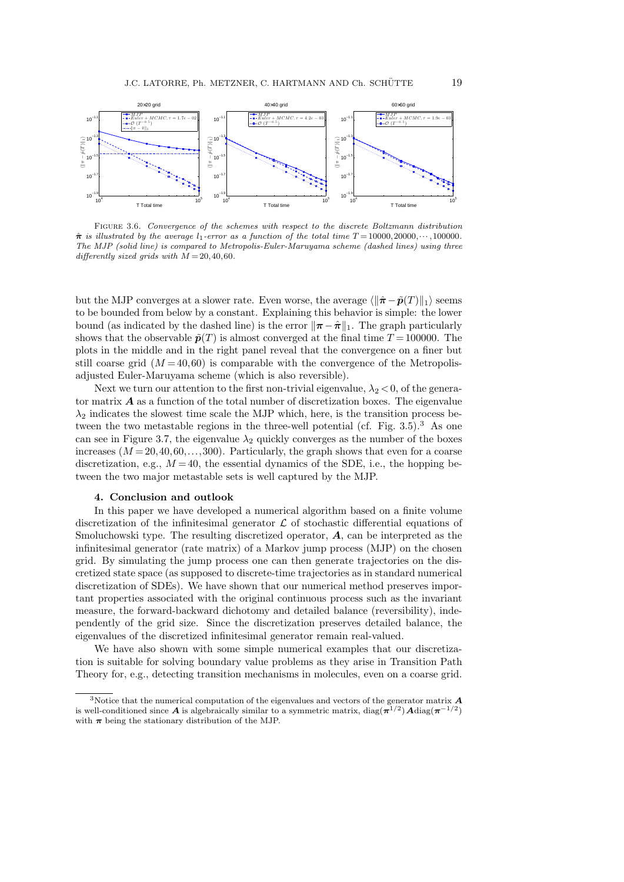

Figure 3.6. *Convergence of the schemes with respect to the discrete Boltzmann distribution*  $\hat{\pi}$  *is illustrated by the average*  $l_1$ -error as a function of the total time  $T = 10000, 20000, \cdots, 100000$ . *The MJP (solid line) is compared to Metropolis-Euler-Maruyama scheme (dashed lines) using three differently sized grids with*  $M = 20, 40, 60$ .

but the MJP converges at a slower rate. Even worse, the average  $\langle \|\hat{\pi} - \tilde{p}(T)\|_1 \rangle$  seems to be bounded from below by a constant. Explaining this behavior is simple: the lower bound (as indicated by the dashed line) is the error  $\|\pi - \hat{\pi}\|_1$ . The graph particularly shows that the observable  $\tilde{p}(T)$  is almost converged at the final time  $T = 100000$ . The plots in the middle and in the right panel reveal that the convergence on a finer but still coarse grid  $(M = 40,60)$  is comparable with the convergence of the Metropolisadjusted Euler-Maruyama scheme (which is also reversible).

Next we turn our attention to the first non-trivial eigenvalue,  $\lambda_2 < 0$ , of the generator matrix *A* as a function of the total number of discretization boxes. The eigenvalue  $\lambda_2$  indicates the slowest time scale the MJP which, here, is the transition process between the two metastable regions in the three-well potential (cf. Fig.  $3.5$ ).<sup>3</sup> As one can see in Figure 3.7, the eigenvalue  $\lambda_2$  quickly converges as the number of the boxes increases  $(M=20, 40, 60, \ldots, 300)$ . Particularly, the graph shows that even for a coarse discretization, e.g.,  $M = 40$ , the essential dynamics of the SDE, i.e., the hopping between the two major metastable sets is well captured by the MJP.

### **4. Conclusion and outlook**

In this paper we have developed a numerical algorithm based on a finite volume discretization of the infinitesimal generator  $\mathcal L$  of stochastic differential equations of Smoluchowski type. The resulting discretized operator, *A*, can be interpreted as the infinitesimal generator (rate matrix) of a Markov jump process (MJP) on the chosen grid. By simulating the jump process one can then generate trajectories on the discretized state space (as supposed to discrete-time trajectories as in standard numerical discretization of SDEs). We have shown that our numerical method preserves important properties associated with the original continuous process such as the invariant measure, the forward-backward dichotomy and detailed balance (reversibility), independently of the grid size. Since the discretization preserves detailed balance, the eigenvalues of the discretized infinitesimal generator remain real-valued.

We have also shown with some simple numerical examples that our discretization is suitable for solving boundary value problems as they arise in Transition Path Theory for, e.g., detecting transition mechanisms in molecules, even on a coarse grid.

<sup>3</sup>Notice that the numerical computation of the eigenvalues and vectors of the generator matrix *A* is well-conditioned since  $\boldsymbol{A}$  is algebraically similar to a symmetric matrix, diag( $\boldsymbol{\pi}^{1/2}$ )  $\boldsymbol{A}$ diag( $\boldsymbol{\pi}^{-1/2}$ ) with  $\pi$  being the stationary distribution of the MJP.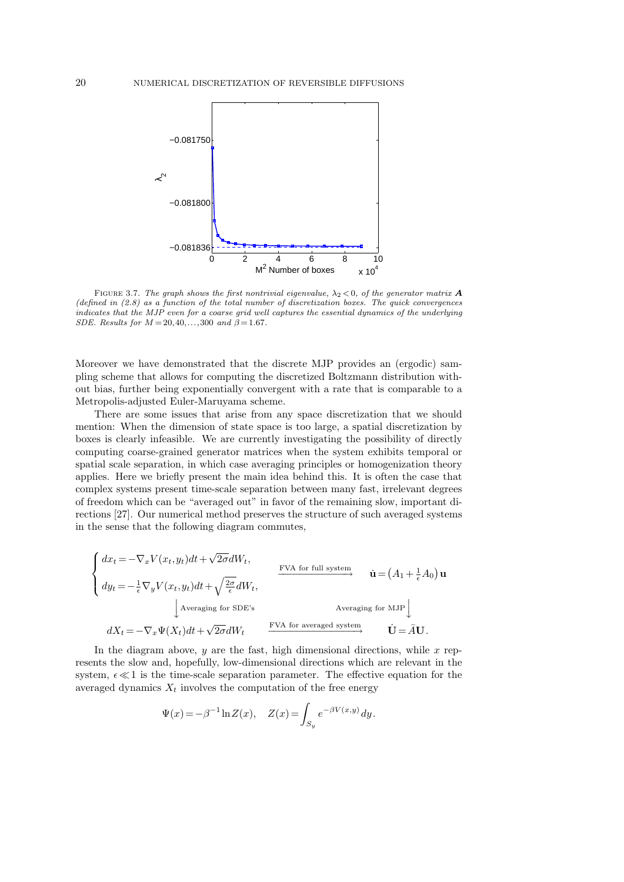

FIGURE 3.7. The graph shows the first nontrivial eigenvalue,  $\lambda_2 < 0$ , of the generator matrix **A** *(defined in (2.8) as a function of the total number of discretization boxes. The quick convergences indicates that the MJP even for a coarse grid well captures the essential dynamics of the underlying SDE.* Results for  $M = 20, 40, ..., 300$  and  $\beta = 1.67$ .

Moreover we have demonstrated that the discrete MJP provides an (ergodic) sampling scheme that allows for computing the discretized Boltzmann distribution without bias, further being exponentially convergent with a rate that is comparable to a Metropolis-adjusted Euler-Maruyama scheme.

There are some issues that arise from any space discretization that we should mention: When the dimension of state space is too large, a spatial discretization by boxes is clearly infeasible. We are currently investigating the possibility of directly computing coarse-grained generator matrices when the system exhibits temporal or spatial scale separation, in which case averaging principles or homogenization theory applies. Here we briefly present the main idea behind this. It is often the case that complex systems present time-scale separation between many fast, irrelevant degrees of freedom which can be "averaged out" in favor of the remaining slow, important directions [27]. Our numerical method preserves the structure of such averaged systems in the sense that the following diagram commutes,

$$
\begin{cases}\n dx_t = -\nabla_x V(x_t, y_t) dt + \sqrt{2\sigma} dW_t, \\
 dy_t = -\frac{1}{\epsilon} \nabla_y V(x_t, y_t) dt + \sqrt{\frac{2\sigma}{\epsilon}} dW_t, \\
 \text{Averaging for SDE's} \\
 dX_t = -\nabla_x \Psi(X_t) dt + \sqrt{2\sigma} dW_t\n\end{cases}\n\xrightarrow{\text{FVA for averaged system}} \textbf{u} = (A_1 + \frac{1}{\epsilon} A_0) \mathbf{u}
$$

In the diagram above,  $y$  are the fast, high dimensional directions, while  $x$  represents the slow and, hopefully, low-dimensional directions which are relevant in the system,  $\epsilon \ll 1$  is the time-scale separation parameter. The effective equation for the averaged dynamics  $X_t$  involves the computation of the free energy

$$
\Psi(x) = -\beta^{-1} \ln Z(x), \quad Z(x) = \int_{S_y} e^{-\beta V(x,y)} dy.
$$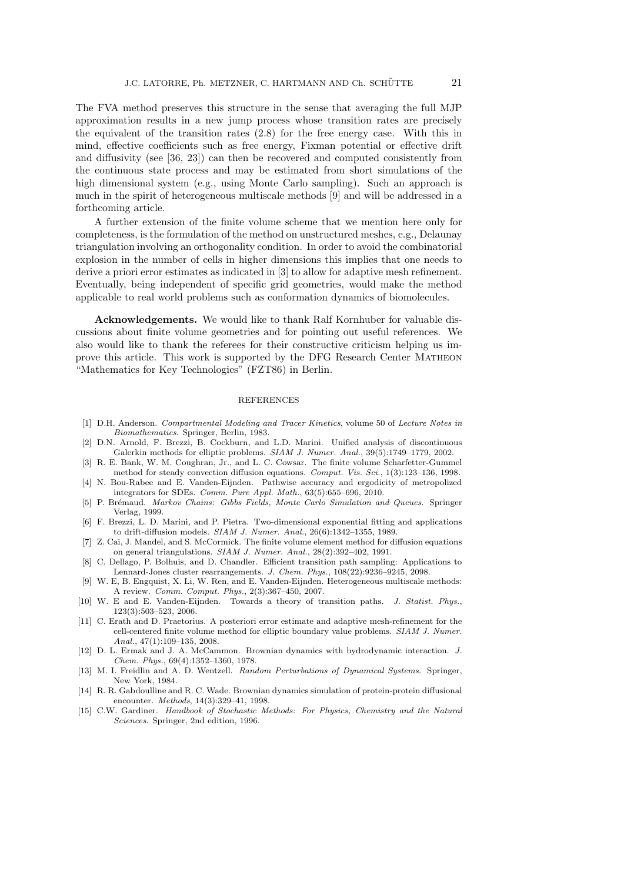The FVA method preserves this structure in the sense that averaging the full MJP approximation results in a new jump process whose transition rates are precisely the equivalent of the transition rates (2.8) for the free energy case. With this in mind, effective coefficients such as free energy, Fixman potential or effective drift and diffusivity (see [36, 23]) can then be recovered and computed consistently from the continuous state process and may be estimated from short simulations of the high dimensional system (e.g., using Monte Carlo sampling). Such an approach is much in the spirit of heterogeneous multiscale methods [9] and will be addressed in a forthcoming article.

A further extension of the finite volume scheme that we mention here only for completeness, is the formulation of the method on unstructured meshes, e.g., Delaunay triangulation involving an orthogonality condition. In order to avoid the combinatorial explosion in the number of cells in higher dimensions this implies that one needs to derive a priori error estimates as indicated in [3] to allow for adaptive mesh refinement. Eventually, being independent of specific grid geometries, would make the method applicable to real world problems such as conformation dynamics of biomolecules.

**Acknowledgements.** We would like to thank Ralf Kornhuber for valuable discussions about finite volume geometries and for pointing out useful references. We also would like to thank the referees for their constructive criticism helping us improve this article. This work is supported by the DFG Research Center Matheon "Mathematics for Key Technologies" (FZT86) in Berlin.

### REFERENCES

- [1] D.H. Anderson. *Compartmental Modeling and Tracer Kinetics*, volume 50 of *Lecture Notes in Biomathematics*. Springer, Berlin, 1983.
- [2] D.N. Arnold, F. Brezzi, B. Cockburn, and L.D. Marini. Unified analysis of discontinuous Galerkin methods for elliptic problems. *SIAM J. Numer. Anal.*, 39(5):1749–1779, 2002.
- [3] R. E. Bank, W. M. Coughran, Jr., and L. C. Cowsar. The finite volume Scharfetter-Gummel method for steady convection diffusion equations. *Comput. Vis. Sci.*, 1(3):123–136, 1998.
- [4] N. Bou-Rabee and E. Vanden-Eijnden. Pathwise accuracy and ergodicity of metropolized integrators for SDEs. *Comm. Pure Appl. Math.*, 63(5):655–696, 2010.
- [5] P. Br´emaud. *Markov Chains: Gibbs Fields, Monte Carlo Simulation and Queues*. Springer Verlag, 1999.
- [6] F. Brezzi, L. D. Marini, and P. Pietra. Two-dimensional exponential fitting and applications to drift-diffusion models. *SIAM J. Numer. Anal.*, 26(6):1342–1355, 1989.
- [7] Z. Cai, J. Mandel, and S. McCormick. The finite volume element method for diffusion equations on general triangulations. *SIAM J. Numer. Anal.*, 28(2):392–402, 1991.
- [8] C. Dellago, P. Bolhuis, and D. Chandler. Efficient transition path sampling: Applications to Lennard-Jones cluster rearrangements. *J. Chem. Phys.*, 108(22):9236–9245, 2098.
- [9] W. E, B. Engquist, X. Li, W. Ren, and E. Vanden-Eijnden. Heterogeneous multiscale methods: A review. *Comm. Comput. Phys.*, 2(3):367–450, 2007.
- [10] W. E and E. Vanden-Eijnden. Towards a theory of transition paths. *J. Statist. Phys.*, 123(3):503–523, 2006.
- [11] C. Erath and D. Praetorius. A posteriori error estimate and adaptive mesh-refinement for the cell-centered finite volume method for elliptic boundary value problems. *SIAM J. Numer. Anal.*, 47(1):109–135, 2008.
- [12] D. L. Ermak and J. A. McCammon. Brownian dynamics with hydrodynamic interaction. *J. Chem. Phys.*, 69(4):1352–1360, 1978.
- [13] M. I. Freidlin and A. D. Wentzell. *Random Perturbations of Dynamical Systems*. Springer, New York, 1984.
- [14] R. R. Gabdoulline and R. C. Wade. Brownian dynamics simulation of protein-protein diffusional encounter. *Methods*, 14(3):329–41, 1998.
- [15] C.W. Gardiner. *Handbook of Stochastic Methods: For Physics, Chemistry and the Natural Sciences*. Springer, 2nd edition, 1996.